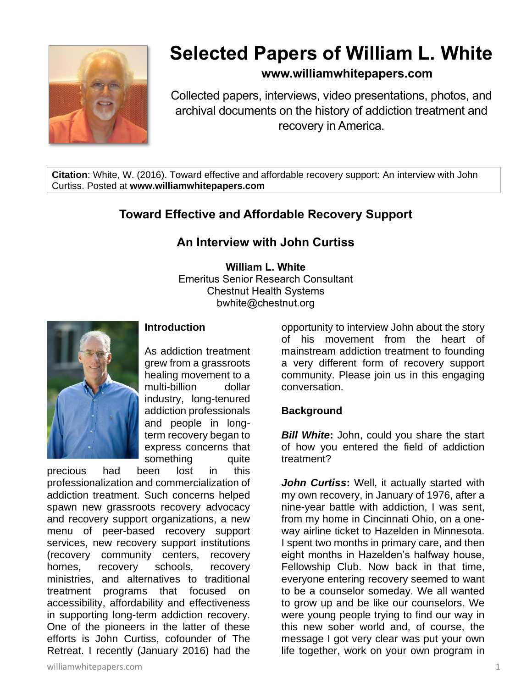

# **Selected Papers of William L. White**

### **www.williamwhitepapers.com**

Collected papers, interviews, video presentations, photos, and archival documents on the history of addiction treatment and recovery in America.

**Citation**: White, W. (2016). Toward effective and affordable recovery support: An interview with John Curtiss. Posted at **www.williamwhitepapers.com**

# **Toward Effective and Affordable Recovery Support**

## **An Interview with John Curtiss**

**William L. White** Emeritus Senior Research Consultant Chestnut Health Systems bwhite@chestnut.org



#### **Introduction**

As addiction treatment grew from a grassroots healing movement to a multi-billion dollar industry, long-tenured addiction professionals and people in longterm recovery began to express concerns that something quite

precious had been lost in this professionalization and commercialization of addiction treatment. Such concerns helped spawn new grassroots recovery advocacy and recovery support organizations, a new menu of peer-based recovery support services, new recovery support institutions (recovery community centers, recovery homes, recovery schools, recovery ministries, and alternatives to traditional treatment programs that focused on accessibility, affordability and effectiveness in supporting long-term addiction recovery. One of the pioneers in the latter of these efforts is John Curtiss, cofounder of The Retreat. I recently (January 2016) had the

williamwhitepapers.com 1

opportunity to interview John about the story of his movement from the heart of mainstream addiction treatment to founding a very different form of recovery support community. Please join us in this engaging conversation.

#### **Background**

*Bill White***:** John, could you share the start of how you entered the field of addiction treatment?

*John Curtiss***:** Well, it actually started with my own recovery, in January of 1976, after a nine-year battle with addiction, I was sent, from my home in Cincinnati Ohio, on a oneway airline ticket to Hazelden in Minnesota. I spent two months in primary care, and then eight months in Hazelden's halfway house, Fellowship Club. Now back in that time, everyone entering recovery seemed to want to be a counselor someday. We all wanted to grow up and be like our counselors. We were young people trying to find our way in this new sober world and, of course, the message I got very clear was put your own life together, work on your own program in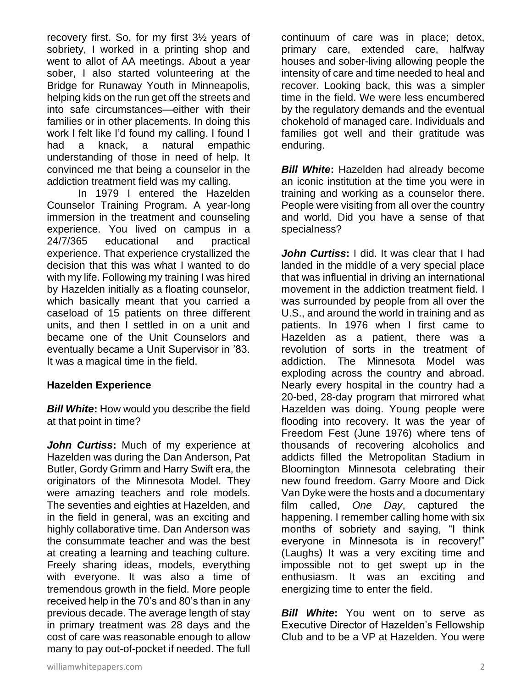recovery first. So, for my first 3½ years of sobriety, I worked in a printing shop and went to allot of AA meetings. About a year sober, I also started volunteering at the Bridge for Runaway Youth in Minneapolis, helping kids on the run get off the streets and into safe circumstances—either with their families or in other placements. In doing this work I felt like I'd found my calling. I found I had a knack, a natural empathic understanding of those in need of help. It convinced me that being a counselor in the addiction treatment field was my calling.

In 1979 I entered the Hazelden Counselor Training Program. A year-long immersion in the treatment and counseling experience. You lived on campus in a 24/7/365 educational and practical experience. That experience crystallized the decision that this was what I wanted to do with my life. Following my training I was hired by Hazelden initially as a floating counselor, which basically meant that you carried a caseload of 15 patients on three different units, and then I settled in on a unit and became one of the Unit Counselors and eventually became a Unit Supervisor in '83. It was a magical time in the field.

#### **Hazelden Experience**

*Bill White***:** How would you describe the field at that point in time?

*John Curtiss***:** Much of my experience at Hazelden was during the Dan Anderson, Pat Butler, Gordy Grimm and Harry Swift era, the originators of the Minnesota Model. They were amazing teachers and role models. The seventies and eighties at Hazelden, and in the field in general, was an exciting and highly collaborative time. Dan Anderson was the consummate teacher and was the best at creating a learning and teaching culture. Freely sharing ideas, models, everything with everyone. It was also a time of tremendous growth in the field. More people received help in the 70's and 80's than in any previous decade. The average length of stay in primary treatment was 28 days and the cost of care was reasonable enough to allow many to pay out-of-pocket if needed. The full continuum of care was in place; detox, primary care, extended care, halfway houses and sober-living allowing people the intensity of care and time needed to heal and recover. Looking back, this was a simpler time in the field. We were less encumbered by the regulatory demands and the eventual chokehold of managed care. Individuals and families got well and their gratitude was enduring.

*Bill White***:** Hazelden had already become an iconic institution at the time you were in training and working as a counselor there. People were visiting from all over the country and world. Did you have a sense of that specialness?

*John Curtiss***:** I did. It was clear that I had landed in the middle of a very special place that was influential in driving an international movement in the addiction treatment field. I was surrounded by people from all over the U.S., and around the world in training and as patients. In 1976 when I first came to Hazelden as a patient, there was a revolution of sorts in the treatment of addiction. The Minnesota Model was exploding across the country and abroad. Nearly every hospital in the country had a 20-bed, 28-day program that mirrored what Hazelden was doing. Young people were flooding into recovery. It was the year of Freedom Fest (June 1976) where tens of thousands of recovering alcoholics and addicts filled the Metropolitan Stadium in Bloomington Minnesota celebrating their new found freedom. Garry Moore and Dick Van Dyke were the hosts and a documentary film called, *One Day*, captured the happening. I remember calling home with six months of sobriety and saying, "I think everyone in Minnesota is in recovery!" (Laughs) It was a very exciting time and impossible not to get swept up in the enthusiasm. It was an exciting and energizing time to enter the field.

*Bill White*: You went on to serve as Executive Director of Hazelden's Fellowship Club and to be a VP at Hazelden. You were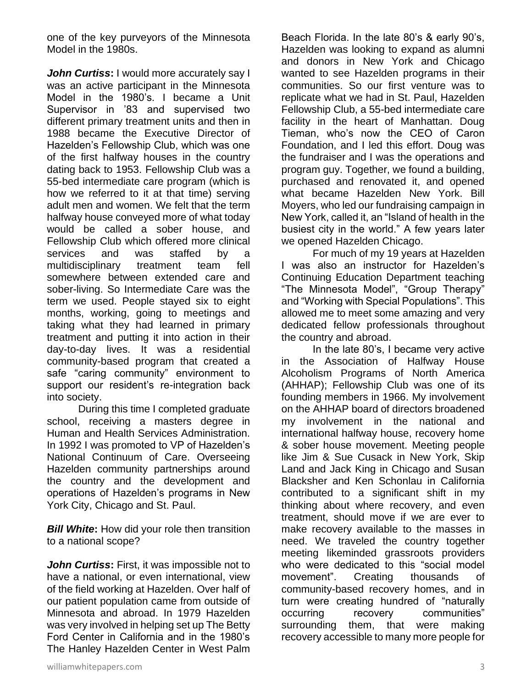one of the key purveyors of the Minnesota Model in the 1980s.

**John Curtiss:** I would more accurately say I was an active participant in the Minnesota Model in the 1980's. I became a Unit Supervisor in '83 and supervised two different primary treatment units and then in 1988 became the Executive Director of Hazelden's Fellowship Club, which was one of the first halfway houses in the country dating back to 1953. Fellowship Club was a 55-bed intermediate care program (which is how we referred to it at that time) serving adult men and women. We felt that the term halfway house conveyed more of what today would be called a sober house, and Fellowship Club which offered more clinical services and was staffed by a multidisciplinary treatment team fell somewhere between extended care and sober-living. So Intermediate Care was the term we used. People stayed six to eight months, working, going to meetings and taking what they had learned in primary treatment and putting it into action in their day-to-day lives. It was a residential community-based program that created a safe "caring community" environment to support our resident's re-integration back into society.

During this time I completed graduate school, receiving a masters degree in Human and Health Services Administration. In 1992 I was promoted to VP of Hazelden's National Continuum of Care. Overseeing Hazelden community partnerships around the country and the development and operations of Hazelden's programs in New York City, Chicago and St. Paul.

*Bill White***:** How did your role then transition to a national scope?

*John Curtiss***:** First, it was impossible not to have a national, or even international, view of the field working at Hazelden. Over half of our patient population came from outside of Minnesota and abroad. In 1979 Hazelden was very involved in helping set up The Betty Ford Center in California and in the 1980's The Hanley Hazelden Center in West Palm

Beach Florida. In the late 80's & early 90's, Hazelden was looking to expand as alumni and donors in New York and Chicago wanted to see Hazelden programs in their communities. So our first venture was to replicate what we had in St. Paul, Hazelden Fellowship Club, a 55-bed intermediate care facility in the heart of Manhattan. Doug Tieman, who's now the CEO of Caron Foundation, and I led this effort. Doug was the fundraiser and I was the operations and program guy. Together, we found a building, purchased and renovated it, and opened what became Hazelden New York. Bill Moyers, who led our fundraising campaign in New York, called it, an "Island of health in the busiest city in the world." A few years later we opened Hazelden Chicago.

For much of my 19 years at Hazelden I was also an instructor for Hazelden's Continuing Education Department teaching "The Minnesota Model", "Group Therapy" and "Working with Special Populations". This allowed me to meet some amazing and very dedicated fellow professionals throughout the country and abroad.

In the late 80's, I became very active in the Association of Halfway House Alcoholism Programs of North America (AHHAP); Fellowship Club was one of its founding members in 1966. My involvement on the AHHAP board of directors broadened my involvement in the national and international halfway house, recovery home & sober house movement. Meeting people like Jim & Sue Cusack in New York, Skip Land and Jack King in Chicago and Susan Blacksher and Ken Schonlau in California contributed to a significant shift in my thinking about where recovery, and even treatment, should move if we are ever to make recovery available to the masses in need. We traveled the country together meeting likeminded grassroots providers who were dedicated to this "social model movement". Creating thousands of community-based recovery homes, and in turn were creating hundred of "naturally occurring recovery communities" surrounding them, that were making recovery accessible to many more people for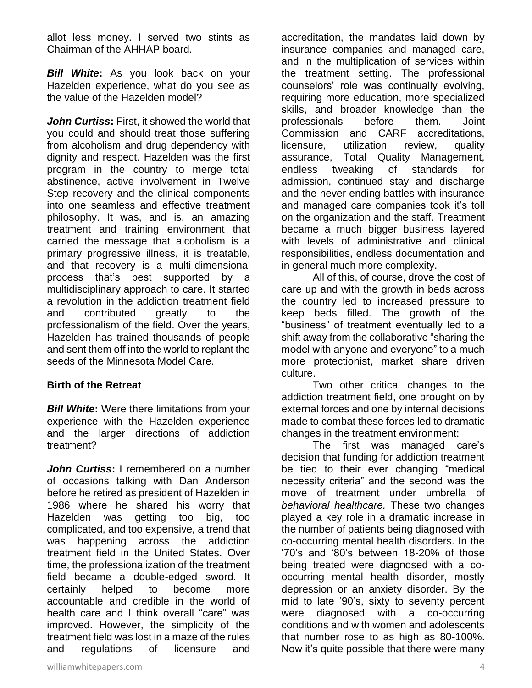allot less money. I served two stints as Chairman of the AHHAP board.

*Bill White***:** As you look back on your Hazelden experience, what do you see as the value of the Hazelden model?

*John Curtiss***:** First, it showed the world that you could and should treat those suffering from alcoholism and drug dependency with dignity and respect. Hazelden was the first program in the country to merge total abstinence, active involvement in Twelve Step recovery and the clinical components into one seamless and effective treatment philosophy. It was, and is, an amazing treatment and training environment that carried the message that alcoholism is a primary progressive illness, it is treatable, and that recovery is a multi-dimensional process that's best supported by a multidisciplinary approach to care. It started a revolution in the addiction treatment field and contributed greatly to the professionalism of the field. Over the years, Hazelden has trained thousands of people and sent them off into the world to replant the seeds of the Minnesota Model Care.

#### **Birth of the Retreat**

*Bill White***:** Were there limitations from your experience with the Hazelden experience and the larger directions of addiction treatment?

*John Curtiss***:** I remembered on a number of occasions talking with Dan Anderson before he retired as president of Hazelden in 1986 where he shared his worry that Hazelden was getting too big, too complicated, and too expensive, a trend that was happening across the addiction treatment field in the United States. Over time, the professionalization of the treatment field became a double-edged sword. It certainly helped to become more accountable and credible in the world of health care and I think overall "care" was improved. However, the simplicity of the treatment field was lost in a maze of the rules and regulations of licensure and

accreditation, the mandates laid down by insurance companies and managed care, and in the multiplication of services within the treatment setting. The professional counselors' role was continually evolving, requiring more education, more specialized skills, and broader knowledge than the professionals before them. Joint Commission and CARF accreditations, licensure, utilization review, quality assurance, Total Quality Management, endless tweaking of standards for admission, continued stay and discharge and the never ending battles with insurance and managed care companies took it's toll on the organization and the staff. Treatment became a much bigger business layered with levels of administrative and clinical responsibilities, endless documentation and in general much more complexity.

All of this, of course, drove the cost of care up and with the growth in beds across the country led to increased pressure to keep beds filled. The growth of the "business" of treatment eventually led to a shift away from the collaborative "sharing the model with anyone and everyone" to a much more protectionist, market share driven culture.

Two other critical changes to the addiction treatment field, one brought on by external forces and one by internal decisions made to combat these forces led to dramatic changes in the treatment environment:

The first was managed care's decision that funding for addiction treatment be tied to their ever changing "medical necessity criteria" and the second was the move of treatment under umbrella of *behavioral healthcare.* These two changes played a key role in a dramatic increase in the number of patients being diagnosed with co-occurring mental health disorders. In the '70's and '80's between 18-20% of those being treated were diagnosed with a cooccurring mental health disorder, mostly depression or an anxiety disorder. By the mid to late '90's, sixty to seventy percent were diagnosed with a co-occurring conditions and with women and adolescents that number rose to as high as 80-100%. Now it's quite possible that there were many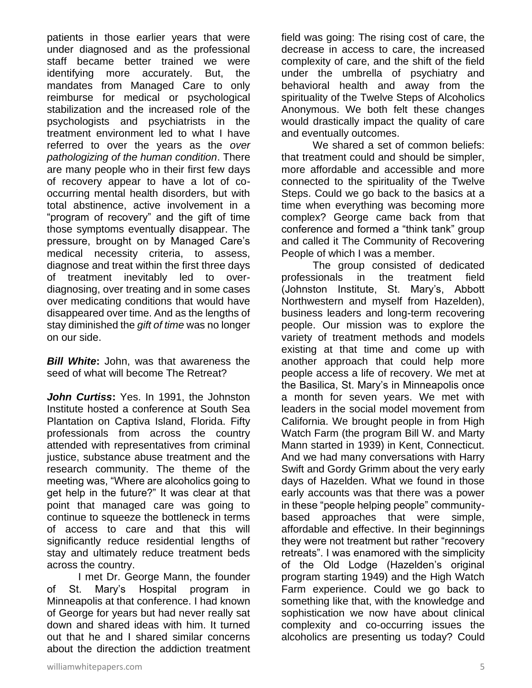patients in those earlier years that were under diagnosed and as the professional staff became better trained we were identifying more accurately. But, the mandates from Managed Care to only reimburse for medical or psychological stabilization and the increased role of the psychologists and psychiatrists in the treatment environment led to what I have referred to over the years as the *over pathologizing of the human condition*. There are many people who in their first few days of recovery appear to have a lot of cooccurring mental health disorders, but with total abstinence, active involvement in a "program of recovery" and the gift of time those symptoms eventually disappear. The pressure, brought on by Managed Care's medical necessity criteria, to assess, diagnose and treat within the first three days of treatment inevitably led to overdiagnosing, over treating and in some cases over medicating conditions that would have disappeared over time. And as the lengths of stay diminished the *gift of time* was no longer on our side.

*Bill White***:** John, was that awareness the seed of what will become The Retreat?

*John Curtiss***:** Yes. In 1991, the Johnston Institute hosted a conference at South Sea Plantation on Captiva Island, Florida. Fifty professionals from across the country attended with representatives from criminal justice, substance abuse treatment and the research community. The theme of the meeting was, "Where are alcoholics going to get help in the future?" It was clear at that point that managed care was going to continue to squeeze the bottleneck in terms of access to care and that this will significantly reduce residential lengths of stay and ultimately reduce treatment beds across the country.

I met Dr. George Mann, the founder of St. Mary's Hospital program Minneapolis at that conference. I had known of George for years but had never really sat down and shared ideas with him. It turned out that he and I shared similar concerns about the direction the addiction treatment field was going: The rising cost of care, the decrease in access to care, the increased complexity of care, and the shift of the field under the umbrella of psychiatry and behavioral health and away from the spirituality of the Twelve Steps of Alcoholics Anonymous. We both felt these changes would drastically impact the quality of care and eventually outcomes.

We shared a set of common beliefs: that treatment could and should be simpler, more affordable and accessible and more connected to the spirituality of the Twelve Steps. Could we go back to the basics at a time when everything was becoming more complex? George came back from that conference and formed a "think tank" group and called it The Community of Recovering People of which I was a member.

The group consisted of dedicated professionals in the treatment field (Johnston Institute, St. Mary's, Abbott Northwestern and myself from Hazelden), business leaders and long-term recovering people. Our mission was to explore the variety of treatment methods and models existing at that time and come up with another approach that could help more people access a life of recovery. We met at the Basilica, St. Mary's in Minneapolis once a month for seven years. We met with leaders in the social model movement from California. We brought people in from High Watch Farm (the program Bill W. and Marty Mann started in 1939) in Kent, Connecticut. And we had many conversations with Harry Swift and Gordy Grimm about the very early days of Hazelden. What we found in those early accounts was that there was a power in these "people helping people" communitybased approaches that were simple, affordable and effective. In their beginnings they were not treatment but rather "recovery retreats". I was enamored with the simplicity of the Old Lodge (Hazelden's original program starting 1949) and the High Watch Farm experience. Could we go back to something like that, with the knowledge and sophistication we now have about clinical complexity and co-occurring issues the alcoholics are presenting us today? Could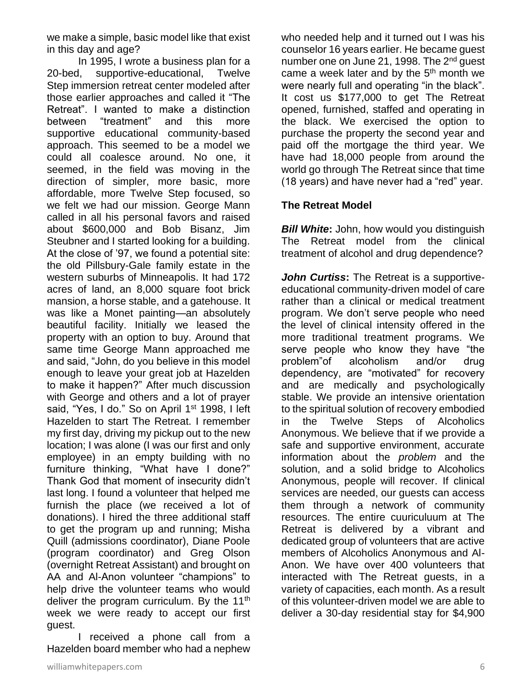we make a simple, basic model like that exist in this day and age?

In 1995, I wrote a business plan for a 20-bed, supportive-educational, Twelve Step immersion retreat center modeled after those earlier approaches and called it "The Retreat". I wanted to make a distinction between "treatment" and this more supportive educational community-based approach. This seemed to be a model we could all coalesce around. No one, it seemed, in the field was moving in the direction of simpler, more basic, more affordable, more Twelve Step focused, so we felt we had our mission. George Mann called in all his personal favors and raised about \$600,000 and Bob Bisanz, Jim Steubner and I started looking for a building. At the close of '97, we found a potential site: the old Pillsbury-Gale family estate in the western suburbs of Minneapolis. It had 172 acres of land, an 8,000 square foot brick mansion, a horse stable, and a gatehouse. It was like a Monet painting—an absolutely beautiful facility. Initially we leased the property with an option to buy. Around that same time George Mann approached me and said, "John, do you believe in this model enough to leave your great job at Hazelden to make it happen?" After much discussion with George and others and a lot of prayer said, "Yes, I do." So on April 1<sup>st</sup> 1998, I left Hazelden to start The Retreat. I remember my first day, driving my pickup out to the new location; I was alone (I was our first and only employee) in an empty building with no furniture thinking, "What have I done?" Thank God that moment of insecurity didn't last long. I found a volunteer that helped me furnish the place (we received a lot of donations). I hired the three additional staff to get the program up and running; Misha Quill (admissions coordinator), Diane Poole (program coordinator) and Greg Olson (overnight Retreat Assistant) and brought on AA and Al-Anon volunteer "champions" to help drive the volunteer teams who would deliver the program curriculum. By the  $11<sup>th</sup>$ week we were ready to accept our first guest.

I received a phone call from a Hazelden board member who had a nephew

purchase the property the second year and paid off the mortgage the third year. We have had 18,000 people from around the world go through The Retreat since that time (18 years) and have never had a "red" year. **The Retreat Model** *Bill White: John, how would you distinguish* The Retreat model from the clinical treatment of alcohol and drug dependence? *John Curtiss***:** The Retreat is a supportive-

who needed help and it turned out I was his counselor 16 years earlier. He became guest number one on June 21, 1998. The 2<sup>nd</sup> quest came a week later and by the  $5<sup>th</sup>$  month we were nearly full and operating "in the black". It cost us \$177,000 to get The Retreat opened, furnished, staffed and operating in the black. We exercised the option to

educational community-driven model of care rather than a clinical or medical treatment program. We don't serve people who need the level of clinical intensity offered in the more traditional treatment programs. We serve people who know they have "the problem"of alcoholism and/or drug dependency, are "motivated" for recovery and are medically and psychologically stable. We provide an intensive orientation to the spiritual solution of recovery embodied in the Twelve Steps of Alcoholics Anonymous. We believe that if we provide a safe and supportive environment, accurate information about the *problem* and the solution, and a solid bridge to Alcoholics Anonymous, people will recover. If clinical services are needed, our guests can access them through a network of community resources. The entire cuuriculuum at The Retreat is delivered by a vibrant and dedicated group of volunteers that are active members of Alcoholics Anonymous and Al-Anon. We have over 400 volunteers that interacted with The Retreat guests, in a variety of capacities, each month. As a result of this volunteer-driven model we are able to deliver a 30-day residential stay for \$4,900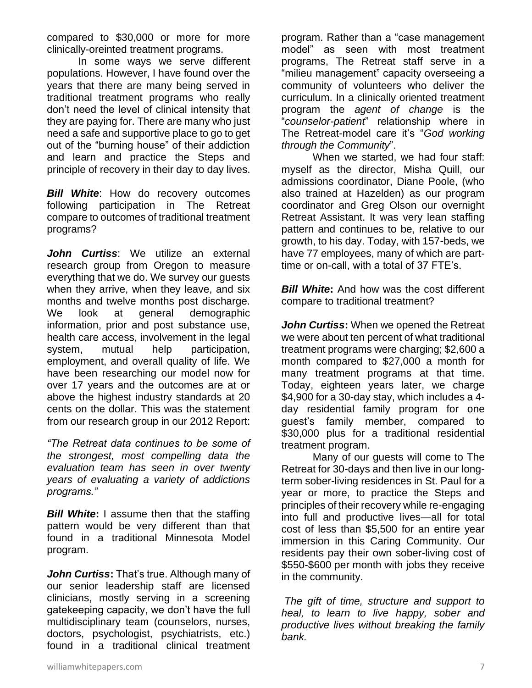compared to \$30,000 or more for more clinically-oreinted treatment programs.

In some ways we serve different populations. However, I have found over the years that there are many being served in traditional treatment programs who really don't need the level of clinical intensity that they are paying for. There are many who just need a safe and supportive place to go to get out of the "burning house" of their addiction and learn and practice the Steps and principle of recovery in their day to day lives.

*Bill White*: How do recovery outcomes following participation in The Retreat compare to outcomes of traditional treatment programs?

*John Curtiss*: We utilize an external research group from Oregon to measure everything that we do. We survey our guests when they arrive, when they leave, and six months and twelve months post discharge. We look at general demographic information, prior and post substance use, health care access, involvement in the legal system, mutual help participation, employment, and overall quality of life. We have been researching our model now for over 17 years and the outcomes are at or above the highest industry standards at 20 cents on the dollar. This was the statement from our research group in our 2012 Report:

*"The Retreat data continues to be some of the strongest, most compelling data the evaluation team has seen in over twenty years of evaluating a variety of addictions programs."* 

*Bill White***:** I assume then that the staffing pattern would be very different than that found in a traditional Minnesota Model program.

*John Curtiss***:** That's true. Although many of our senior leadership staff are licensed clinicians, mostly serving in a screening gatekeeping capacity, we don't have the full multidisciplinary team (counselors, nurses, doctors, psychologist, psychiatrists, etc.) found in a traditional clinical treatment program. Rather than a "case management model" as seen with most treatment programs, The Retreat staff serve in a "milieu management" capacity overseeing a community of volunteers who deliver the curriculum. In a clinically oriented treatment program the *agent of change* is the "*counselor-patient*" relationship where in The Retreat-model care it's "*God working through the Community*".

When we started, we had four staff: myself as the director, Misha Quill, our admissions coordinator, Diane Poole, (who also trained at Hazelden) as our program coordinator and Greg Olson our overnight Retreat Assistant. It was very lean staffing pattern and continues to be, relative to our growth, to his day. Today, with 157-beds, we have 77 employees, many of which are parttime or on-call, with a total of 37 FTE's.

*Bill White***:** And how was the cost different compare to traditional treatment?

*John Curtiss***:** When we opened the Retreat we were about ten percent of what traditional treatment programs were charging; \$2,600 a month compared to \$27,000 a month for many treatment programs at that time. Today, eighteen years later, we charge \$4,900 for a 30-day stay, which includes a 4 day residential family program for one guest's family member, compared to \$30,000 plus for a traditional residential treatment program.

Many of our guests will come to The Retreat for 30-days and then live in our longterm sober-living residences in St. Paul for a year or more, to practice the Steps and principles of their recovery while re-engaging into full and productive lives—all for total cost of less than \$5,500 for an entire year immersion in this Caring Community. Our residents pay their own sober-living cost of \$550-\$600 per month with jobs they receive in the community.

*The gift of time, structure and support to heal, to learn to live happy, sober and productive lives without breaking the family bank.*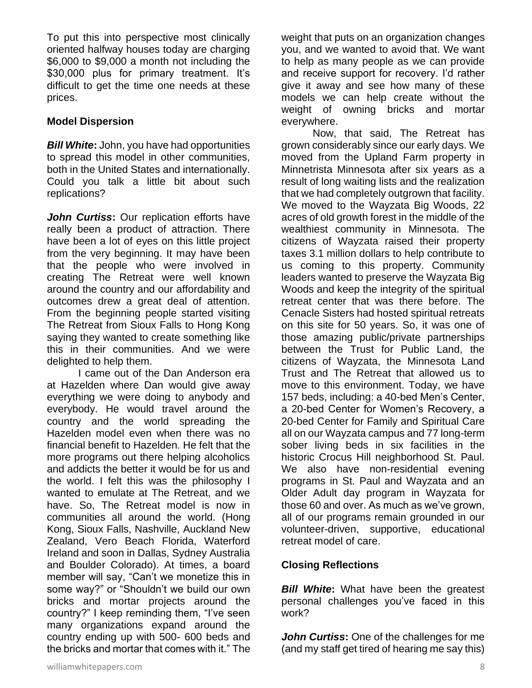To put this into perspective most clinically oriented halfway houses today are charging \$6,000 to \$9,000 a month not including the \$30,000 plus for primary treatment. It's difficult to get the time one needs at these prices.

#### **Model Dispersion**

*Bill White***:** John, you have had opportunities to spread this model in other communities, both in the United States and internationally. Could you talk a little bit about such replications?

*John Curtiss***:** Our replication efforts have really been a product of attraction. There have been a lot of eyes on this little project from the very beginning. It may have been that the people who were involved in creating The Retreat were well known around the country and our affordability and outcomes drew a great deal of attention. From the beginning people started visiting The Retreat from Sioux Falls to Hong Kong saying they wanted to create something like this in their communities. And we were delighted to help them.

I came out of the Dan Anderson era at Hazelden where Dan would give away everything we were doing to anybody and everybody. He would travel around the country and the world spreading the Hazelden model even when there was no financial benefit to Hazelden. He felt that the more programs out there helping alcoholics and addicts the better it would be for us and the world. I felt this was the philosophy I wanted to emulate at The Retreat, and we have. So, The Retreat model is now in communities all around the world. (Hong Kong, Sioux Falls, Nashville, Auckland New Zealand, Vero Beach Florida, Waterford Ireland and soon in Dallas, Sydney Australia and Boulder Colorado). At times, a board member will say, "Can't we monetize this in some way?" or "Shouldn't we build our own bricks and mortar projects around the country?" I keep reminding them, "I've seen many organizations expand around the country ending up with 500- 600 beds and the bricks and mortar that comes with it." The

weight that puts on an organization changes you, and we wanted to avoid that. We want to help as many people as we can provide and receive support for recovery. I'd rather give it away and see how many of these models we can help create without the weight of owning bricks and mortar everywhere.

Now, that said, The Retreat has grown considerably since our early days. We moved from the Upland Farm property in Minnetrista Minnesota after six years as a result of long waiting lists and the realization that we had completely outgrown that facility. We moved to the Wayzata Big Woods, 22 acres of old growth forest in the middle of the wealthiest community in Minnesota. The citizens of Wayzata raised their property taxes 3.1 million dollars to help contribute to us coming to this property. Community leaders wanted to preserve the Wayzata Big Woods and keep the integrity of the spiritual retreat center that was there before. The Cenacle Sisters had hosted spiritual retreats on this site for 50 years. So, it was one of those amazing public/private partnerships between the Trust for Public Land, the citizens of Wayzata, the Minnesota Land Trust and The Retreat that allowed us to move to this environment. Today, we have 157 beds, including: a 40-bed Men's Center, a 20-bed Center for Women's Recovery, a 20-bed Center for Family and Spiritual Care all on our Wayzata campus and 77 long-term sober living beds in six facilities in the historic Crocus Hill neighborhood St. Paul. We also have non-residential evening programs in St. Paul and Wayzata and an Older Adult day program in Wayzata for those 60 and over. As much as we've grown, all of our programs remain grounded in our volunteer-driven, supportive, educational retreat model of care.

#### **Closing Reflections**

**Bill White:** What have been the greatest personal challenges you've faced in this work?

*John Curtiss***:** One of the challenges for me (and my staff get tired of hearing me say this)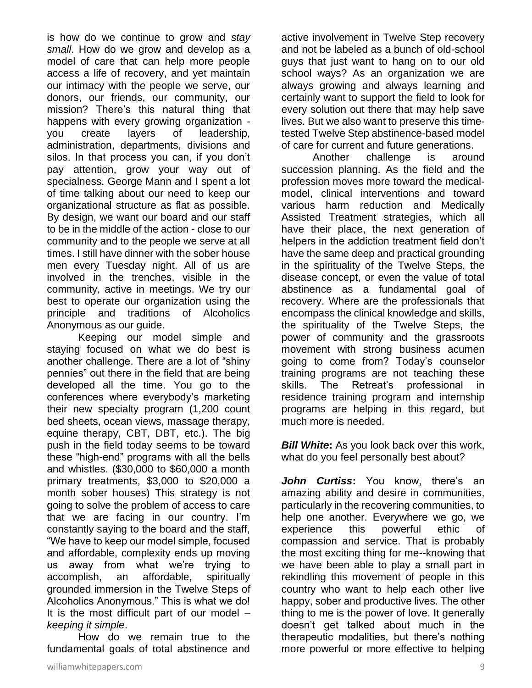is how do we continue to grow and *stay small*. How do we grow and develop as a model of care that can help more people access a life of recovery, and yet maintain our intimacy with the people we serve, our donors, our friends, our community, our mission? There's this natural thing that happens with every growing organization you create layers of leadership, administration, departments, divisions and silos. In that process you can, if you don't pay attention, grow your way out of specialness. George Mann and I spent a lot of time talking about our need to keep our organizational structure as flat as possible. By design, we want our board and our staff to be in the middle of the action - close to our community and to the people we serve at all times. I still have dinner with the sober house men every Tuesday night. All of us are involved in the trenches, visible in the community, active in meetings. We try our best to operate our organization using the principle and traditions of Alcoholics Anonymous as our guide.

Keeping our model simple and staying focused on what we do best is another challenge. There are a lot of "shiny pennies" out there in the field that are being developed all the time. You go to the conferences where everybody's marketing their new specialty program (1,200 count bed sheets, ocean views, massage therapy, equine therapy, CBT, DBT, etc.). The big push in the field today seems to be toward these "high-end" programs with all the bells and whistles. (\$30,000 to \$60,000 a month primary treatments, \$3,000 to \$20,000 a month sober houses) This strategy is not going to solve the problem of access to care that we are facing in our country. I'm constantly saying to the board and the staff, "We have to keep our model simple, focused and affordable, complexity ends up moving us away from what we're trying to accomplish, an affordable, spiritually grounded immersion in the Twelve Steps of Alcoholics Anonymous." This is what we do! It is the most difficult part of our model  $$ *keeping it simple*.

How do we remain true to the fundamental goals of total abstinence and active involvement in Twelve Step recovery and not be labeled as a bunch of old-school guys that just want to hang on to our old school ways? As an organization we are always growing and always learning and certainly want to support the field to look for every solution out there that may help save lives. But we also want to preserve this timetested Twelve Step abstinence-based model of care for current and future generations.

Another challenge is around succession planning. As the field and the profession moves more toward the medicalmodel, clinical interventions and toward various harm reduction and Medically Assisted Treatment strategies, which all have their place, the next generation of helpers in the addiction treatment field don't have the same deep and practical grounding in the spirituality of the Twelve Steps, the disease concept, or even the value of total abstinence as a fundamental goal of recovery. Where are the professionals that encompass the clinical knowledge and skills, the spirituality of the Twelve Steps, the power of community and the grassroots movement with strong business acumen going to come from? Today's counselor training programs are not teaching these skills. The Retreat's professional in residence training program and internship programs are helping in this regard, but much more is needed.

*Bill White:* As you look back over this work, what do you feel personally best about?

*John Curtiss***:** You know, there's an amazing ability and desire in communities, particularly in the recovering communities, to help one another. Everywhere we go, we experience this powerful ethic of compassion and service. That is probably the most exciting thing for me--knowing that we have been able to play a small part in rekindling this movement of people in this country who want to help each other live happy, sober and productive lives. The other thing to me is the power of love. It generally doesn't get talked about much in the therapeutic modalities, but there's nothing more powerful or more effective to helping